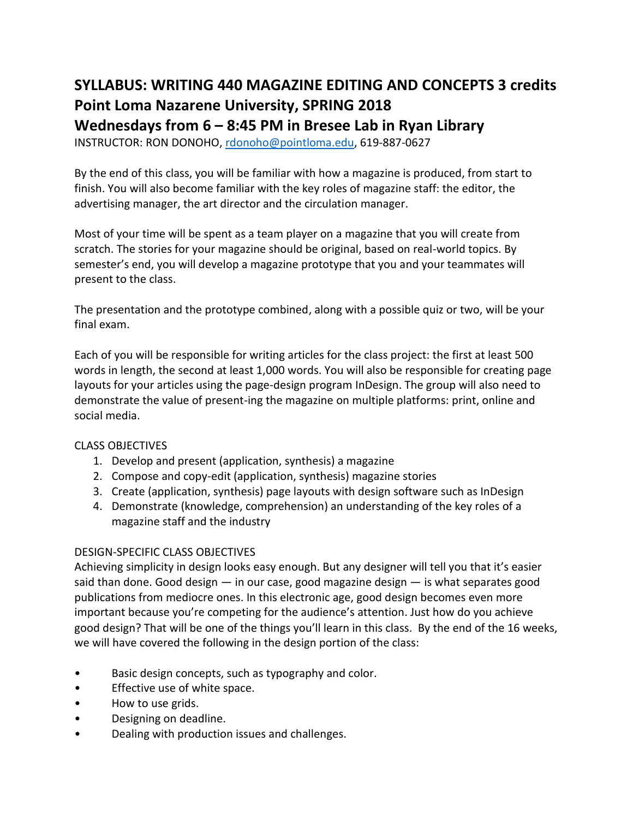# **SYLLABUS: WRITING 440 MAGAZINE EDITING AND CONCEPTS 3 credits Point Loma Nazarene University, SPRING 2018 Wednesdays from 6 – 8:45 PM in Bresee Lab in Ryan Library**

INSTRUCTOR: RON DONOHO, [rdonoho@pointloma.edu,](mailto:rdonoho@pointloma.edu) 619-887-0627

By the end of this class, you will be familiar with how a magazine is produced, from start to finish. You will also become familiar with the key roles of magazine staff: the editor, the advertising manager, the art director and the circulation manager.

Most of your time will be spent as a team player on a magazine that you will create from scratch. The stories for your magazine should be original, based on real-world topics. By semester's end, you will develop a magazine prototype that you and your teammates will present to the class.

The presentation and the prototype combined, along with a possible quiz or two, will be your final exam.

Each of you will be responsible for writing articles for the class project: the first at least 500 words in length, the second at least 1,000 words. You will also be responsible for creating page layouts for your articles using the page-design program InDesign. The group will also need to demonstrate the value of present-ing the magazine on multiple platforms: print, online and social media.

## CLASS OBJECTIVES

- 1. Develop and present (application, synthesis) a magazine
- 2. Compose and copy-edit (application, synthesis) magazine stories
- 3. Create (application, synthesis) page layouts with design software such as InDesign
- 4. Demonstrate (knowledge, comprehension) an understanding of the key roles of a magazine staff and the industry

## DESIGN-SPECIFIC CLASS OBJECTIVES

Achieving simplicity in design looks easy enough. But any designer will tell you that it's easier said than done. Good design  $-$  in our case, good magazine design  $-$  is what separates good publications from mediocre ones. In this electronic age, good design becomes even more important because you're competing for the audience's attention. Just how do you achieve good design? That will be one of the things you'll learn in this class. By the end of the 16 weeks, we will have covered the following in the design portion of the class:

- Basic design concepts, such as typography and color.
- Effective use of white space.
- How to use grids.
- Designing on deadline.
- Dealing with production issues and challenges.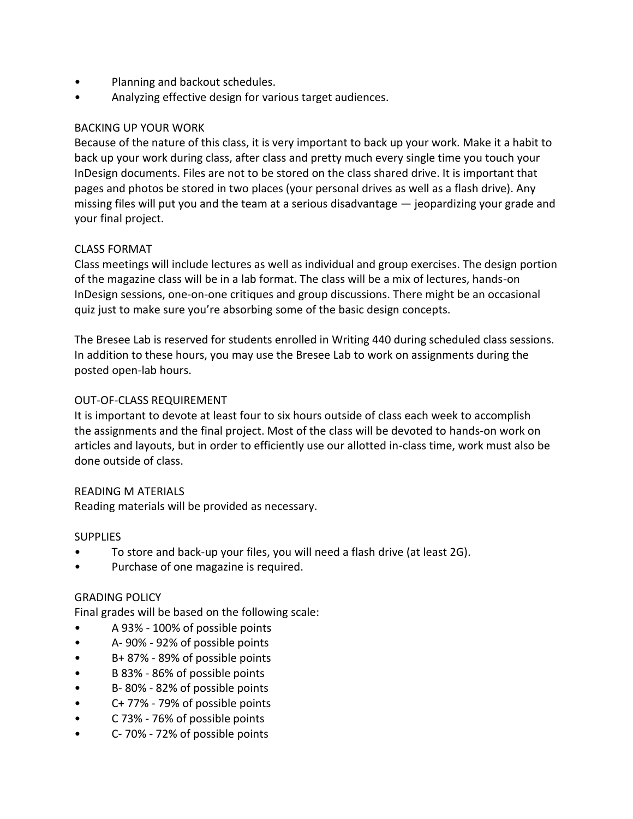- Planning and backout schedules.
- Analyzing effective design for various target audiences.

## BACKING UP YOUR WORK

Because of the nature of this class, it is very important to back up your work. Make it a habit to back up your work during class, after class and pretty much every single time you touch your InDesign documents. Files are not to be stored on the class shared drive. It is important that pages and photos be stored in two places (your personal drives as well as a flash drive). Any missing files will put you and the team at a serious disadvantage — jeopardizing your grade and your final project.

#### CLASS FORMAT

Class meetings will include lectures as well as individual and group exercises. The design portion of the magazine class will be in a lab format. The class will be a mix of lectures, hands-on InDesign sessions, one-on-one critiques and group discussions. There might be an occasional quiz just to make sure you're absorbing some of the basic design concepts.

The Bresee Lab is reserved for students enrolled in Writing 440 during scheduled class sessions. In addition to these hours, you may use the Bresee Lab to work on assignments during the posted open-lab hours.

## OUT-OF-CLASS REQUIREMENT

It is important to devote at least four to six hours outside of class each week to accomplish the assignments and the final project. Most of the class will be devoted to hands-on work on articles and layouts, but in order to efficiently use our allotted in-class time, work must also be done outside of class.

#### READING M ATERIALS

Reading materials will be provided as necessary.

#### **SUPPLIES**

- To store and back-up your files, you will need a flash drive (at least 2G).
- Purchase of one magazine is required.

#### GRADING POLICY

Final grades will be based on the following scale:

- A 93% 100% of possible points
- A- 90% 92% of possible points
- B+ 87% 89% of possible points
- B 83% 86% of possible points
- B- 80% 82% of possible points
- C+ 77% 79% of possible points
- C 73% 76% of possible points
- C- 70% 72% of possible points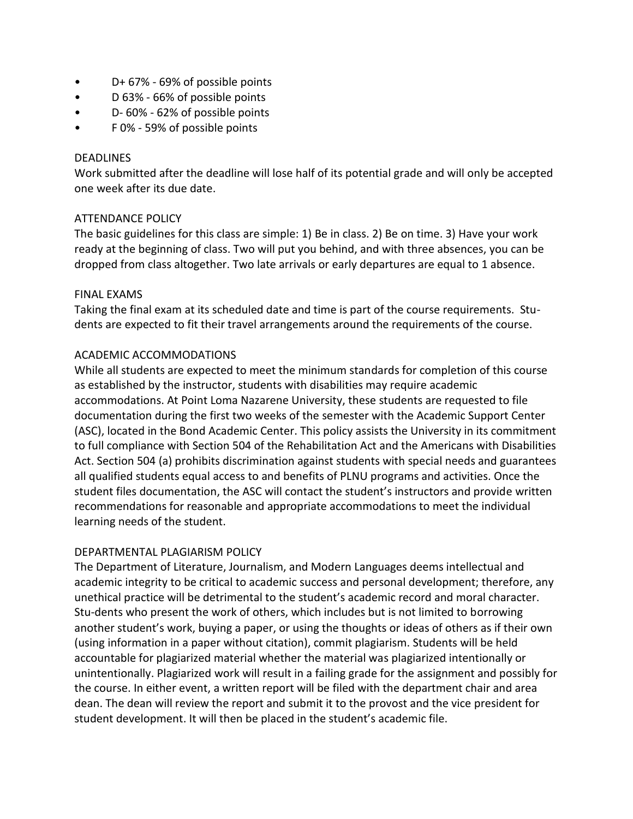- D+ 67% 69% of possible points
- D 63% 66% of possible points
- D- 60% 62% of possible points
- F 0% 59% of possible points

#### DEADLINES

Work submitted after the deadline will lose half of its potential grade and will only be accepted one week after its due date.

## ATTENDANCE POLICY

The basic guidelines for this class are simple: 1) Be in class. 2) Be on time. 3) Have your work ready at the beginning of class. Two will put you behind, and with three absences, you can be dropped from class altogether. Two late arrivals or early departures are equal to 1 absence.

#### FINAL EXAMS

Taking the final exam at its scheduled date and time is part of the course requirements. Students are expected to fit their travel arrangements around the requirements of the course.

## ACADEMIC ACCOMMODATIONS

While all students are expected to meet the minimum standards for completion of this course as established by the instructor, students with disabilities may require academic accommodations. At Point Loma Nazarene University, these students are requested to file documentation during the first two weeks of the semester with the Academic Support Center (ASC), located in the Bond Academic Center. This policy assists the University in its commitment to full compliance with Section 504 of the Rehabilitation Act and the Americans with Disabilities Act. Section 504 (a) prohibits discrimination against students with special needs and guarantees all qualified students equal access to and benefits of PLNU programs and activities. Once the student files documentation, the ASC will contact the student's instructors and provide written recommendations for reasonable and appropriate accommodations to meet the individual learning needs of the student.

#### DEPARTMENTAL PLAGIARISM POLICY

The Department of Literature, Journalism, and Modern Languages deems intellectual and academic integrity to be critical to academic success and personal development; therefore, any unethical practice will be detrimental to the student's academic record and moral character. Stu-dents who present the work of others, which includes but is not limited to borrowing another student's work, buying a paper, or using the thoughts or ideas of others as if their own (using information in a paper without citation), commit plagiarism. Students will be held accountable for plagiarized material whether the material was plagiarized intentionally or unintentionally. Plagiarized work will result in a failing grade for the assignment and possibly for the course. In either event, a written report will be filed with the department chair and area dean. The dean will review the report and submit it to the provost and the vice president for student development. It will then be placed in the student's academic file.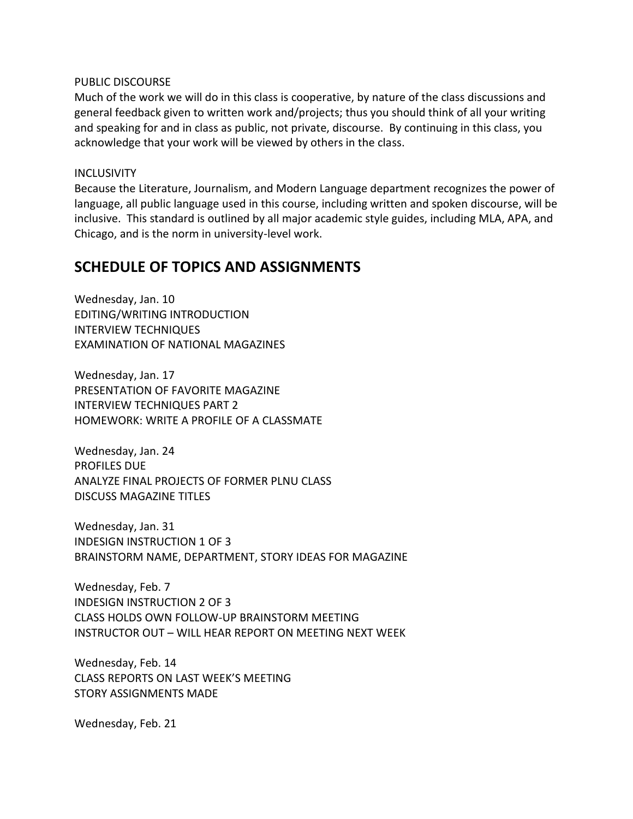#### PUBLIC DISCOURSE

Much of the work we will do in this class is cooperative, by nature of the class discussions and general feedback given to written work and/projects; thus you should think of all your writing and speaking for and in class as public, not private, discourse. By continuing in this class, you acknowledge that your work will be viewed by others in the class.

#### **INCLUSIVITY**

Because the Literature, Journalism, and Modern Language department recognizes the power of language, all public language used in this course, including written and spoken discourse, will be inclusive. This standard is outlined by all major academic style guides, including MLA, APA, and Chicago, and is the norm in university-level work.

## **SCHEDULE OF TOPICS AND ASSIGNMENTS**

Wednesday, Jan. 10 EDITING/WRITING INTRODUCTION INTERVIEW TECHNIQUES EXAMINATION OF NATIONAL MAGAZINES

Wednesday, Jan. 17 PRESENTATION OF FAVORITE MAGAZINE INTERVIEW TECHNIQUES PART 2 HOMEWORK: WRITE A PROFILE OF A CLASSMATE

Wednesday, Jan. 24 PROFILES DUE ANALYZE FINAL PROJECTS OF FORMER PLNU CLASS DISCUSS MAGAZINE TITLES

Wednesday, Jan. 31 INDESIGN INSTRUCTION 1 OF 3 BRAINSTORM NAME, DEPARTMENT, STORY IDEAS FOR MAGAZINE

Wednesday, Feb. 7 INDESIGN INSTRUCTION 2 OF 3 CLASS HOLDS OWN FOLLOW-UP BRAINSTORM MEETING INSTRUCTOR OUT – WILL HEAR REPORT ON MEETING NEXT WEEK

Wednesday, Feb. 14 CLASS REPORTS ON LAST WEEK'S MEETING STORY ASSIGNMENTS MADE

Wednesday, Feb. 21